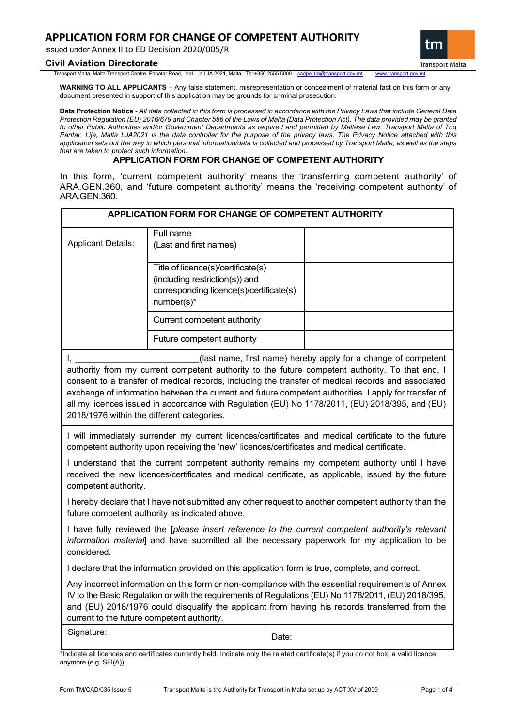issued under Annex II to ED Decision 2020/005/R

## **Civil Aviation Directorate**

**Transport Malta** 

tm

Transport Malta, Malta Transport Centre, Panatar Road, Ħal Lija LJA 2021, Malta. Tel:+356 2555 5000 [cadpel.tm@transport.gov.mt](mailto:cadpel.tm@transport.gov.mt) www.transport.gov.mt

**WARNING TO ALL APPLICANTS** – Any false statement, misrepresentation or concealment of material fact on this form or any document presented in support of this application may be grounds for criminal prosecution.

**Data Protection Notice -** *All data collected in this form is processed in accordance with the Privacy Laws that include General Data Protection Regulation (EU) 2016/679 and Chapter 586 of the Laws of Malta (Data Protection Act). The data provided may be granted to other Public Authorities and/or Government Departments as required and permitted by Maltese Law. Transport Malta of Triq Pantar, Lija, Malta LJA2021 is the data controller for the purpose of the privacy laws. The Privacy Notice attached with this application sets out the way in which personal information/data is collected and processed by Transport Malta, as well as the steps that are taken to protect such information.*

# **APPLICATION FORM FOR CHANGE OF COMPETENT AUTHORITY**

In this form, 'current competent authority' means the 'transferring competent authority' of ARA.GEN.360, and 'future competent authority' means the 'receiving competent authority' of ARA.GEN.360.

| <b>APPLICATION FORM FOR CHANGE OF COMPETENT AUTHORITY</b> |                                                                                                                               |       |                                                                                                                                                                                                                                                                                                                                                                                                                                                                                     |
|-----------------------------------------------------------|-------------------------------------------------------------------------------------------------------------------------------|-------|-------------------------------------------------------------------------------------------------------------------------------------------------------------------------------------------------------------------------------------------------------------------------------------------------------------------------------------------------------------------------------------------------------------------------------------------------------------------------------------|
| <b>Applicant Details:</b>                                 | Full name<br>(Last and first names)                                                                                           |       |                                                                                                                                                                                                                                                                                                                                                                                                                                                                                     |
|                                                           | Title of licence(s)/certificate(s)<br>(including restriction(s)) and<br>corresponding licence(s)/certificate(s)<br>number(s)* |       |                                                                                                                                                                                                                                                                                                                                                                                                                                                                                     |
|                                                           | Current competent authority                                                                                                   |       |                                                                                                                                                                                                                                                                                                                                                                                                                                                                                     |
|                                                           | Future competent authority                                                                                                    |       |                                                                                                                                                                                                                                                                                                                                                                                                                                                                                     |
| I.,<br>2018/1976 within the different categories.         |                                                                                                                               |       | (last name, first name) hereby apply for a change of competent<br>authority from my current competent authority to the future competent authority. To that end, I<br>consent to a transfer of medical records, including the transfer of medical records and associated<br>exchange of information between the current and future competent authorities. I apply for transfer of<br>all my licences issued in accordance with Regulation (EU) No 1178/2011, (EU) 2018/395, and (EU) |
|                                                           | competent authority upon receiving the 'new' licences/certificates and medical certificate.                                   |       | I will immediately surrender my current licences/certificates and medical certificate to the future                                                                                                                                                                                                                                                                                                                                                                                 |
| competent authority.                                      |                                                                                                                               |       | I understand that the current competent authority remains my competent authority until I have<br>received the new licences/certificates and medical certificate, as applicable, issued by the future                                                                                                                                                                                                                                                                                |
|                                                           | future competent authority as indicated above.                                                                                |       | I hereby declare that I have not submitted any other request to another competent authority than the                                                                                                                                                                                                                                                                                                                                                                                |
| considered.                                               |                                                                                                                               |       | I have fully reviewed the [please insert reference to the current competent authority's relevant<br>information material] and have submitted all the necessary paperwork for my application to be                                                                                                                                                                                                                                                                                   |
|                                                           | I declare that the information provided on this application form is true, complete, and correct.                              |       |                                                                                                                                                                                                                                                                                                                                                                                                                                                                                     |
| current to the future competent authority.                |                                                                                                                               |       | Any incorrect information on this form or non-compliance with the essential requirements of Annex<br>IV to the Basic Regulation or with the requirements of Regulations (EU) No 1178/2011, (EU) 2018/395,<br>and (EU) 2018/1976 could disqualify the applicant from having his records transferred from the                                                                                                                                                                         |
| Signature:                                                |                                                                                                                               | Date: |                                                                                                                                                                                                                                                                                                                                                                                                                                                                                     |
| anymore (e.g. SFI(A)).                                    |                                                                                                                               |       | *Indicate all licences and certificates currently held. Indicate only the related certificate(s) if you do not hold a valid licence                                                                                                                                                                                                                                                                                                                                                 |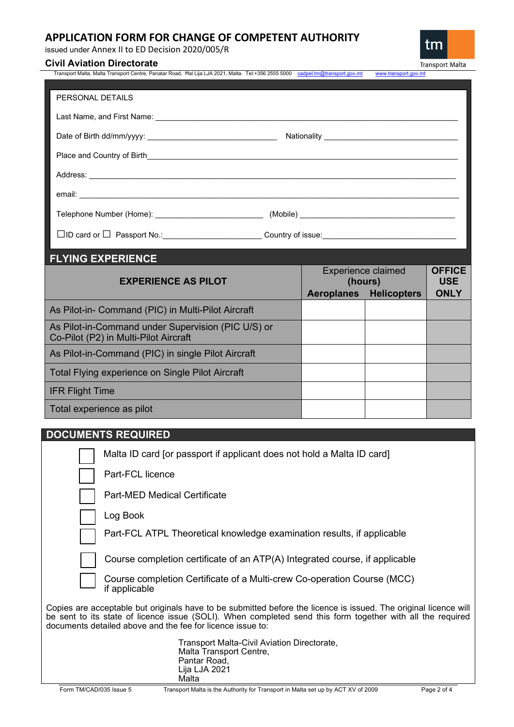issued under Annex II to ED Decision 2020/005/R

# **Civil Aviation Directorate**

| Transport Malta, Malta Transport Centre, Panatar Road,  Ħal Lija LJA 2021, Malta.  Tel:+356 2555 5000    cadpel.tm@transport.gov.mt                                                                                                 | www.transport.gov.mt |
|-------------------------------------------------------------------------------------------------------------------------------------------------------------------------------------------------------------------------------------|----------------------|
|                                                                                                                                                                                                                                     |                      |
| PERSONAL DETAILS                                                                                                                                                                                                                    |                      |
|                                                                                                                                                                                                                                     |                      |
|                                                                                                                                                                                                                                     |                      |
|                                                                                                                                                                                                                                     |                      |
|                                                                                                                                                                                                                                     |                      |
|                                                                                                                                                                                                                                     |                      |
|                                                                                                                                                                                                                                     |                      |
| Address: <u>Address:</u> Address: Address: Address: Address: Address: Address: Address: Address: Address: Address: Address: Address: Address: Address: Address: Address: Address: Address: Address: Address: Address: Address: Addr |                      |
|                                                                                                                                                                                                                                     |                      |
|                                                                                                                                                                                                                                     |                      |
|                                                                                                                                                                                                                                     |                      |
|                                                                                                                                                                                                                                     |                      |
|                                                                                                                                                                                                                                     |                      |
| <b>FLYING EXPERIENCE</b>                                                                                                                                                                                                            |                      |
|                                                                                                                                                                                                                                     |                      |

| <b>EXPERIENCE AS PILOT</b>                                                                  | <b>Experience claimed</b><br>(hours) |                    | <b>OFFICE</b><br><b>USE</b> |
|---------------------------------------------------------------------------------------------|--------------------------------------|--------------------|-----------------------------|
|                                                                                             | <b>Aeroplanes</b>                    | <b>Helicopters</b> | <b>ONLY</b>                 |
| As Pilot-in- Command (PIC) in Multi-Pilot Aircraft                                          |                                      |                    |                             |
| As Pilot-in-Command under Supervision (PIC U/S) or<br>Co-Pilot (P2) in Multi-Pilot Aircraft |                                      |                    |                             |
| As Pilot-in-Command (PIC) in single Pilot Aircraft                                          |                                      |                    |                             |
| Total Flying experience on Single Pilot Aircraft                                            |                                      |                    |                             |
| <b>IFR Flight Time</b>                                                                      |                                      |                    |                             |
| Total experience as pilot                                                                   |                                      |                    |                             |

# **DOCUMENTS REQUIRED**

|                                                                                                                                                                                                                                                                                              | Malta ID card for passport if applicant does not hold a Malta ID card                                            |  |
|----------------------------------------------------------------------------------------------------------------------------------------------------------------------------------------------------------------------------------------------------------------------------------------------|------------------------------------------------------------------------------------------------------------------|--|
|                                                                                                                                                                                                                                                                                              | Part-FCL licence                                                                                                 |  |
|                                                                                                                                                                                                                                                                                              | <b>Part-MED Medical Certificate</b>                                                                              |  |
|                                                                                                                                                                                                                                                                                              | Log Book                                                                                                         |  |
|                                                                                                                                                                                                                                                                                              | Part-FCL ATPL Theoretical knowledge examination results, if applicable                                           |  |
|                                                                                                                                                                                                                                                                                              | Course completion certificate of an ATP(A) Integrated course, if applicable                                      |  |
|                                                                                                                                                                                                                                                                                              | Course completion Certificate of a Multi-crew Co-operation Course (MCC)<br>if applicable                         |  |
| Copies are acceptable but originals have to be submitted before the licence is issued. The original licence will<br>be sent to its state of licence issue (SOLI). When completed send this form together with all the required<br>documents detailed above and the fee for licence issue to: |                                                                                                                  |  |
|                                                                                                                                                                                                                                                                                              | Transport Malta-Civil Aviation Directorate,<br>Malta Transport Centre,<br>Pantar Road.<br>Lija LJA 2021<br>Malta |  |

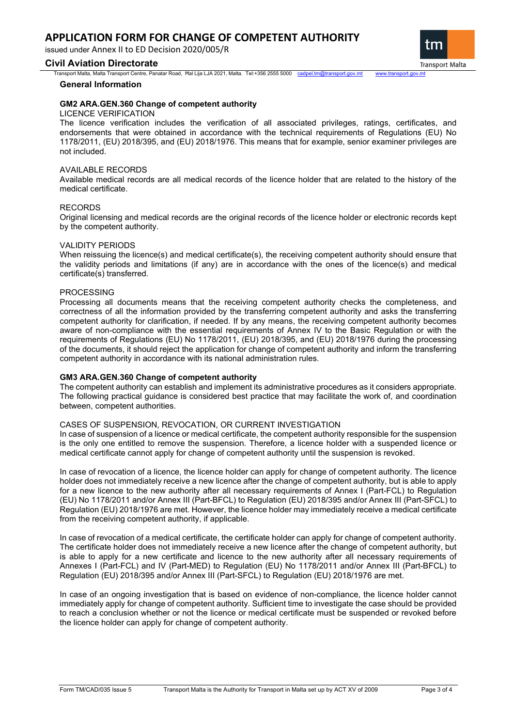issued under Annex II to ED Decision 2020/005/R

## **Civil Aviation Directorate**

Transport Malta, Malta Transport Centre, Panatar Road, Ħal Lija LJA 2021, Malta. Tel:+356 2555 5000 [cadpel.tm@transport.gov.mt](mailto:cadpel.tm@transport.gov.mt) www.transport.gov.mt

### **General Information**

## **GM2 ARA.GEN.360 Change of competent authority**

### LICENCE VERIFICATION

The licence verification includes the verification of all associated privileges, ratings, certificates, and endorsements that were obtained in accordance with the technical requirements of Regulations (EU) No 1178/2011, (EU) 2018/395, and (EU) 2018/1976. This means that for example, senior examiner privileges are not included.

## AVAILABLE RECORDS

Available medical records are all medical records of the licence holder that are related to the history of the medical certificate.

## RECORDS

Original licensing and medical records are the original records of the licence holder or electronic records kept by the competent authority.

## VALIDITY PERIODS

When reissuing the licence(s) and medical certificate(s), the receiving competent authority should ensure that the validity periods and limitations (if any) are in accordance with the ones of the licence(s) and medical certificate(s) transferred.

## PROCESSING

Processing all documents means that the receiving competent authority checks the completeness, and correctness of all the information provided by the transferring competent authority and asks the transferring competent authority for clarification, if needed. If by any means, the receiving competent authority becomes aware of non-compliance with the essential requirements of Annex IV to the Basic Regulation or with the requirements of Regulations (EU) No 1178/2011, (EU) 2018/395, and (EU) 2018/1976 during the processing of the documents, it should reject the application for change of competent authority and inform the transferring competent authority in accordance with its national administration rules.

## **GM3 ARA.GEN.360 Change of competent authority**

The competent authority can establish and implement its administrative procedures as it considers appropriate. The following practical guidance is considered best practice that may facilitate the work of, and coordination between, competent authorities.

## CASES OF SUSPENSION, REVOCATION, OR CURRENT INVESTIGATION

In case of suspension of a licence or medical certificate, the competent authority responsible for the suspension is the only one entitled to remove the suspension. Therefore, a licence holder with a suspended licence or medical certificate cannot apply for change of competent authority until the suspension is revoked.

In case of revocation of a licence, the licence holder can apply for change of competent authority. The licence holder does not immediately receive a new licence after the change of competent authority, but is able to apply for a new licence to the new authority after all necessary requirements of Annex I (Part-FCL) to Regulation (EU) No 1178/2011 and/or Annex III (Part-BFCL) to Regulation (EU) 2018/395 and/or Annex III (Part-SFCL) to Regulation (EU) 2018/1976 are met. However, the licence holder may immediately receive a medical certificate from the receiving competent authority, if applicable.

In case of revocation of a medical certificate, the certificate holder can apply for change of competent authority. The certificate holder does not immediately receive a new licence after the change of competent authority, but is able to apply for a new certificate and licence to the new authority after all necessary requirements of Annexes I (Part-FCL) and IV (Part-MED) to Regulation (EU) No 1178/2011 and/or Annex III (Part-BFCL) to Regulation (EU) 2018/395 and/or Annex III (Part-SFCL) to Regulation (EU) 2018/1976 are met.

In case of an ongoing investigation that is based on evidence of non-compliance, the licence holder cannot immediately apply for change of competent authority. Sufficient time to investigate the case should be provided to reach a conclusion whether or not the licence or medical certificate must be suspended or revoked before the licence holder can apply for change of competent authority.